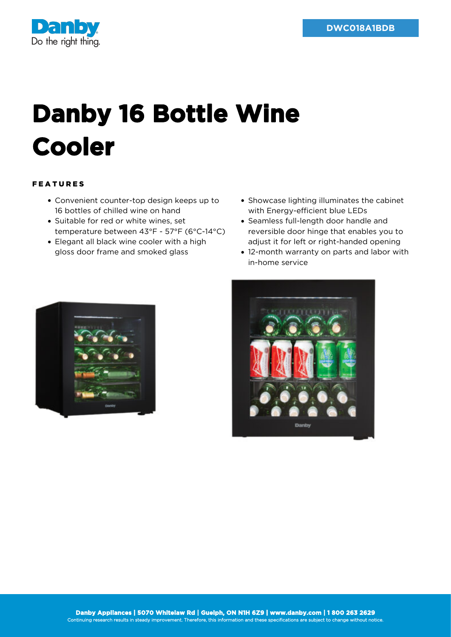

## **Danby 16 Bottle Wine Cooler**

## FEATURES

- Convenient counter-top design keeps up to 16 bottles of chilled wine on hand
- Suitable for red or white wines, set temperature between 43°F - 57°F (6°C-14°C)
- Elegant all black wine cooler with a high gloss door frame and smoked glass
- Showcase lighting illuminates the cabinet with Energy-efficient blue LEDs
- Seamless full-length door handle and reversible door hinge that enables you to adjust it for left or right-handed opening
- 12-month warranty on parts and labor with in-home service